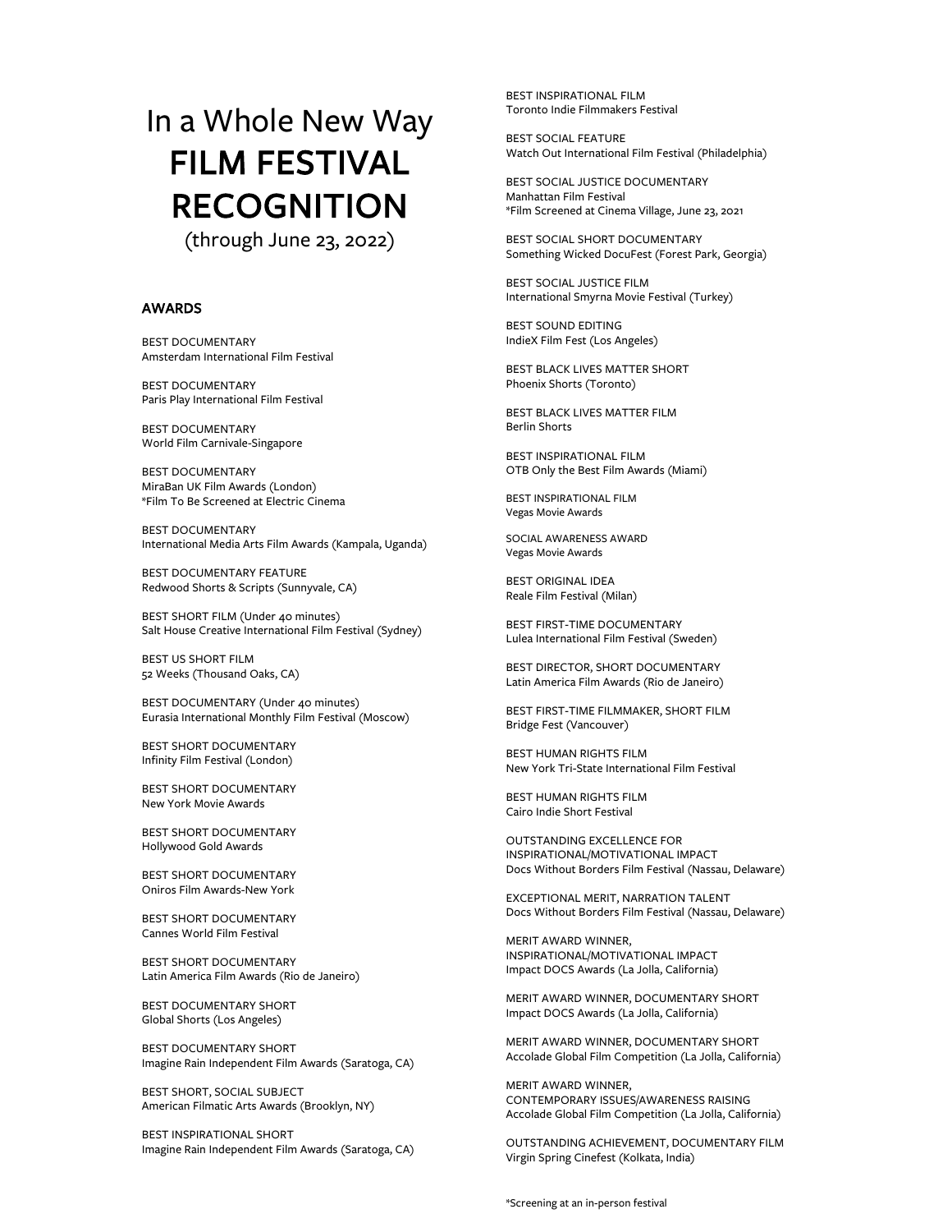# In a Whole New Way FILM FESTIVAL RECOGNITION<br>(through June 23, 2022)

## AWARDS

BEST DOCUMENTARY Amsterdam International Film Festival

BEST DOCUMENTARY Paris Play International Film Festival

BEST DOCUMENTARY World Film Carnivale-Singapore

BEST DOCUMENTARY MiraBan UK Film Awards (London) \*Film To Be Screened at Electric Cinema

BEST DOCUMENTARY International Media Arts Film Awards (Kampala, Uganda)

BEST DOCUMENTARY FEATURE Redwood Shorts & Scripts (Sunnyvale, CA)

BEST SHORT FILM (Under 40 minutes) Salt House Creative International Film Festival (Sydney)

BEST US SHORT FILM 52 Weeks (Thousand Oaks, CA)

BEST DOCUMENTARY (Under 40 minutes) Eurasia International Monthly Film Festival (Moscow)

BEST SHORT DOCUMENTARY Infinity Film Festival (London)

BEST SHORT DOCUMENTARY New York Movie Awards

BEST SHORT DOCUMENTARY Hollywood Gold Awards

BEST SHORT DOCUMENTARY Oniros Film Awards-New York

BEST SHORT DOCUMENTARY Cannes World Film Festival

BEST SHORT DOCUMENTARY Latin America Film Awards (Rio de Janeiro)

BEST DOCUMENTARY SHORT Global Shorts (Los Angeles)

BEST DOCUMENTARY SHORT Imagine Rain Independent Film Awards (Saratoga, CA)

BEST SHORT, SOCIAL SUBJECT American Filmatic Arts Awards (Brooklyn, NY)

BEST INSPIRATIONAL SHORT Imagine Rain Independent Film Awards (Saratoga, CA)

BEST INSPIRATIONAL FILM Toronto Indie Filmmakers Festival

BEST SOCIAL FEATURE Watch Out International Film Festival (Philadelphia)

BEST SOCIAL JUSTICE DOCUMENTARY Manhattan Film Festival \*Film Screened at Cinema Village, June 23, 2021

BEST SOCIAL SHORT DOCUMENTARY Something Wicked DocuFest (Forest Park, Georgia)

BEST SOCIAL JUSTICE FILM International Smyrna Movie Festival (Turkey)

BEST SOUND EDITING IndieX Film Fest (Los Angeles)

BEST BLACK LIVES MATTER SHORT Phoenix Shorts (Toronto)

BEST BLACK LIVES MATTER FILM Berlin Shorts

BEST INSPIRATIONAL FILM OTB Only the Best Film Awards (Miami)

BEST INSPIRATIONAL FILM Vegas Movie Awards

SOCIAL AWARENESS AWARD Vegas Movie Awards

BEST ORIGINAL IDEA Reale Film Festival (Milan)

BEST FIRST-TIME DOCUMENTARY Lulea International Film Festival (Sweden)

BEST DIRECTOR, SHORT DOCUMENTARY Latin America Film Awards (Rio de Janeiro)

BEST FIRST-TIME FILMMAKER, SHORT FILM Bridge Fest (Vancouver)

BEST HUMAN RIGHTS FILM New York Tri-State International Film Festival

BEST HUMAN RIGHTS FILM Cairo Indie Short Festival

OUTSTANDING EXCELLENCE FOR INSPIRATIONAL/MOTIVATIONAL IMPACT Docs Without Borders Film Festival (Nassau, Delaware)

EXCEPTIONAL MERIT, NARRATION TALENT Docs Without Borders Film Festival (Nassau, Delaware)

MERIT AWARD WINNER, INSPIRATIONAL/MOTIVATIONAL IMPACT Impact DOCS Awards (La Jolla, California)

MERIT AWARD WINNER, DOCUMENTARY SHORT Impact DOCS Awards (La Jolla, California)

MERIT AWARD WINNER, DOCUMENTARY SHORT Accolade Global Film Competition (La Jolla, California)

MERIT AWARD WINNER, CONTEMPORARY ISSUES/AWARENESS RAISING Accolade Global Film Competition (La Jolla, California)

OUTSTANDING ACHIEVEMENT, DOCUMENTARY FILM Virgin Spring Cinefest (Kolkata, India)

\*Screening at an in-person festival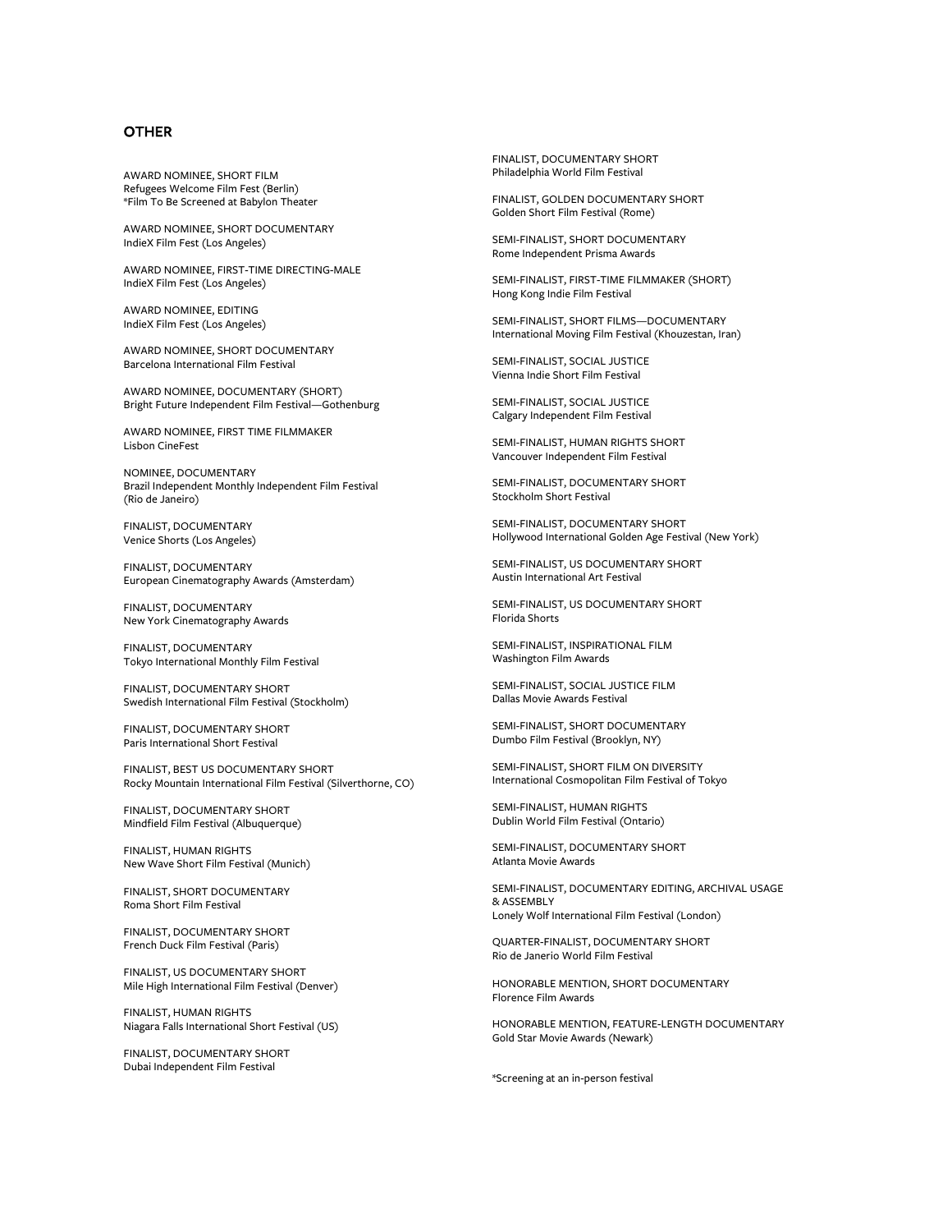#### **OTHER**

AWARD NOMINEE, SHORT FILM Refugees Welcome Film Fest (Berlin) \*Film To Be Screened at Babylon Theater

AWARD NOMINEE, SHORT DOCUMENTARY IndieX Film Fest (Los Angeles)

AWARD NOMINEE, FIRST-TIME DIRECTING-MALE IndieX Film Fest (Los Angeles)

AWARD NOMINEE, EDITING IndieX Film Fest (Los Angeles)

AWARD NOMINEE, SHORT DOCUMENTARY Barcelona International Film Festival

AWARD NOMINEE, DOCUMENTARY (SHORT) Bright Future Independent Film Festival—Gothenburg

AWARD NOMINEE, FIRST TIME FILMMAKER Lisbon CineFest

NOMINEE, DOCUMENTARY Brazil Independent Monthly Independent Film Festival (Rio de Janeiro)

FINALIST, DOCUMENTARY Venice Shorts (Los Angeles)

FINALIST, DOCUMENTARY European Cinematography Awards (Amsterdam)

FINALIST, DOCUMENTARY New York Cinematography Awards

FINALIST, DOCUMENTARY Tokyo International Monthly Film Festival

FINALIST, DOCUMENTARY SHORT Swedish International Film Festival (Stockholm)

FINALIST, DOCUMENTARY SHORT Paris International Short Festival

FINALIST, BEST US DOCUMENTARY SHORT Rocky Mountain International Film Festival (Silverthorne, CO)

FINALIST, DOCUMENTARY SHORT Mindfield Film Festival (Albuquerque)

FINALIST, HUMAN RIGHTS New Wave Short Film Festival (Munich)

FINALIST, SHORT DOCUMENTARY Roma Short Film Festival

FINALIST, DOCUMENTARY SHORT French Duck Film Festival (Paris)

FINALIST, US DOCUMENTARY SHORT Mile High International Film Festival (Denver)

FINALIST, HUMAN RIGHTS Niagara Falls International Short Festival (US)

FINALIST, DOCUMENTARY SHORT Dubai Independent Film Festival

FINALIST, DOCUMENTARY SHORT Philadelphia World Film Festival

FINALIST, GOLDEN DOCUMENTARY SHORT Golden Short Film Festival (Rome)

SEMI-FINALIST, SHORT DOCUMENTARY Rome Independent Prisma Awards

SEMI-FINALIST, FIRST-TIME FILMMAKER (SHORT) Hong Kong Indie Film Festival

SEMI-FINALIST, SHORT FILMS—DOCUMENTARY International Moving Film Festival (Khouzestan, Iran)

SEMI-FINALIST, SOCIAL JUSTICE Vienna Indie Short Film Festival

SEMI-FINALIST, SOCIAL JUSTICE Calgary Independent Film Festival

SEMI-FINALIST, HUMAN RIGHTS SHORT Vancouver Independent Film Festival

SEMI-FINALIST, DOCUMENTARY SHORT Stockholm Short Festival

SEMI-FINALIST, DOCUMENTARY SHORT Hollywood International Golden Age Festival (New York)

SEMI-FINALIST, US DOCUMENTARY SHORT Austin International Art Festival

SEMI-FINALIST, US DOCUMENTARY SHORT Florida Shorts

SEMI-FINALIST, INSPIRATIONAL FILM Washington Film Awards

SEMI-FINALIST, SOCIAL JUSTICE FILM Dallas Movie Awards Festival

SEMI-FINALIST, SHORT DOCUMENTARY Dumbo Film Festival (Brooklyn, NY)

SEMI-FINALIST, SHORT FILM ON DIVERSITY International Cosmopolitan Film Festival of Tokyo

SEMI-FINALIST, HUMAN RIGHTS Dublin World Film Festival (Ontario)

SEMI-FINALIST, DOCUMENTARY SHORT Atlanta Movie Awards

SEMI-FINALIST, DOCUMENTARY EDITING, ARCHIVAL USAGE & ASSEMBLY Lonely Wolf International Film Festival (London)

QUARTER-FINALIST, DOCUMENTARY SHORT Rio de Janerio World Film Festival

HONORABLE MENTION, SHORT DOCUMENTARY Florence Film Awards

HONORABLE MENTION, FEATURE-LENGTH DOCUMENTARY Gold Star Movie Awards (Newark)

\*Screening at an in-person festival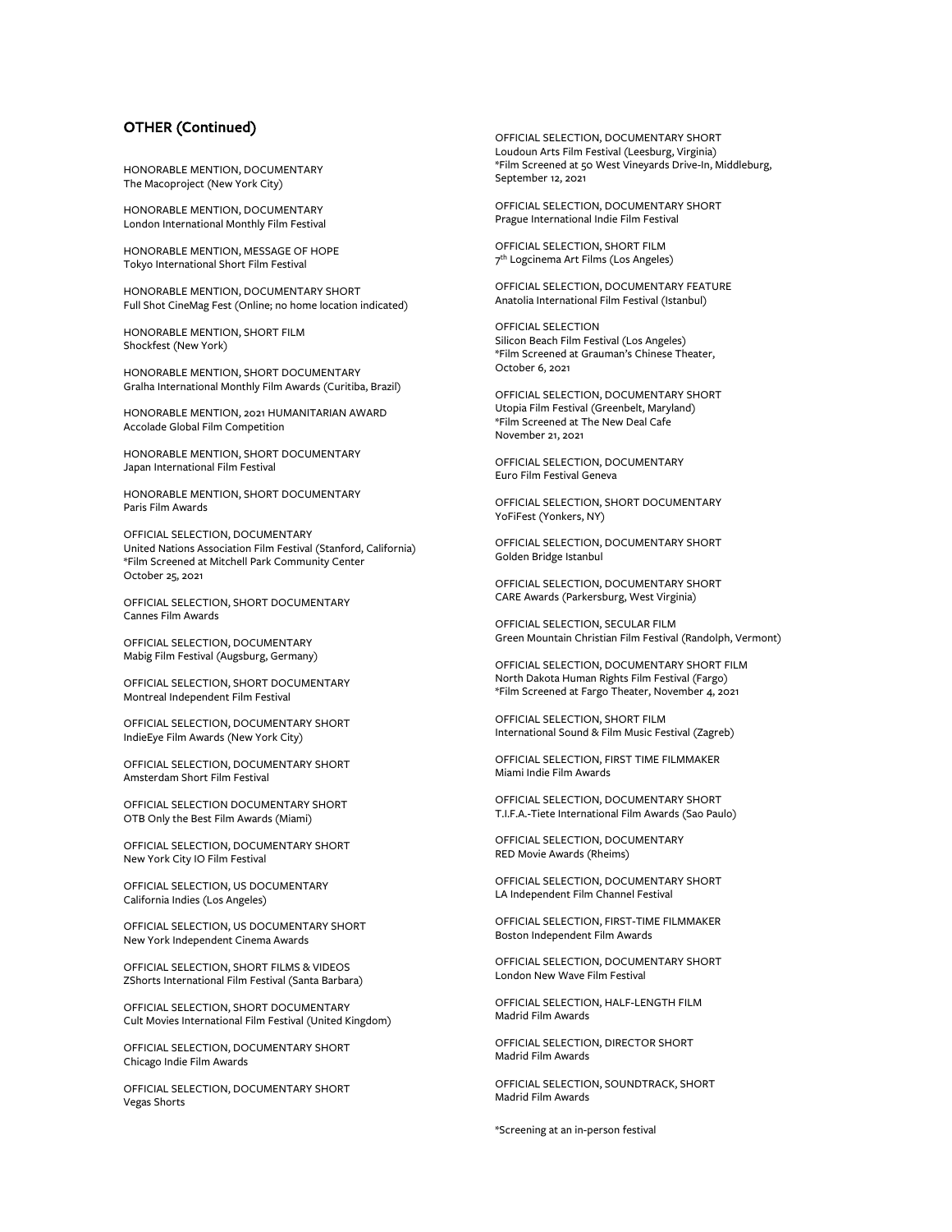## OTHER (Continued)

HONORABLE MENTION, DOCUMENTARY The Macoproject (New York City)

HONORABLE MENTION, DOCUMENTARY London International Monthly Film Festival

HONORABLE MENTION, MESSAGE OF HOPE Tokyo International Short Film Festival

HONORABLE MENTION, DOCUMENTARY SHORT Full Shot CineMag Fest (Online; no home location indicated)

HONORABLE MENTION, SHORT FILM Shockfest (New York)

HONORABLE MENTION, SHORT DOCUMENTARY Gralha International Monthly Film Awards (Curitiba, Brazil)

HONORABLE MENTION, 2021 HUMANITARIAN AWARD Accolade Global Film Competition

HONORABLE MENTION, SHORT DOCUMENTARY Japan International Film Festival

HONORABLE MENTION, SHORT DOCUMENTARY Paris Film Awards

OFFICIAL SELECTION, DOCUMENTARY United Nations Association Film Festival (Stanford, California) \*Film Screened at Mitchell Park Community Center October 25, 2021

OFFICIAL SELECTION, SHORT DOCUMENTARY Cannes Film Awards

OFFICIAL SELECTION, DOCUMENTARY Mabig Film Festival (Augsburg, Germany)

OFFICIAL SELECTION, SHORT DOCUMENTARY Montreal Independent Film Festival

OFFICIAL SELECTION, DOCUMENTARY SHORT IndieEye Film Awards (New York City)

OFFICIAL SELECTION, DOCUMENTARY SHORT Amsterdam Short Film Festival

OFFICIAL SELECTION DOCUMENTARY SHORT OTB Only the Best Film Awards (Miami)

OFFICIAL SELECTION, DOCUMENTARY SHORT New York City IO Film Festival

OFFICIAL SELECTION, US DOCUMENTARY California Indies (Los Angeles)

OFFICIAL SELECTION, US DOCUMENTARY SHORT New York Independent Cinema Awards

OFFICIAL SELECTION, SHORT FILMS & VIDEOS ZShorts International Film Festival (Santa Barbara)

OFFICIAL SELECTION, SHORT DOCUMENTARY Cult Movies International Film Festival (United Kingdom)

OFFICIAL SELECTION, DOCUMENTARY SHORT Chicago Indie Film Awards

OFFICIAL SELECTION, DOCUMENTARY SHORT Vegas Shorts

OFFICIAL SELECTION, DOCUMENTARY SHORT Loudoun Arts Film Festival (Leesburg, Virginia) \*Film Screened at 50 West Vineyards Drive-In, Middleburg, September 12, 2021

OFFICIAL SELECTION, DOCUMENTARY SHORT Prague International Indie Film Festival

OFFICIAL SELECTION, SHORT FILM 7th Logcinema Art Films (Los Angeles)

OFFICIAL SELECTION, DOCUMENTARY FEATURE Anatolia International Film Festival (Istanbul)

OFFICIAL SELECTION Silicon Beach Film Festival (Los Angeles) \*Film Screened at Grauman's Chinese Theater, October 6, 2021

OFFICIAL SELECTION, DOCUMENTARY SHORT Utopia Film Festival (Greenbelt, Maryland) \*Film Screened at The New Deal Cafe November 21, 2021

OFFICIAL SELECTION, DOCUMENTARY Euro Film Festival Geneva

OFFICIAL SELECTION, SHORT DOCUMENTARY YoFiFest (Yonkers, NY)

OFFICIAL SELECTION, DOCUMENTARY SHORT Golden Bridge Istanbul

OFFICIAL SELECTION, DOCUMENTARY SHORT CARE Awards (Parkersburg, West Virginia)

OFFICIAL SELECTION, SECULAR FILM Green Mountain Christian Film Festival (Randolph, Vermont)

OFFICIAL SELECTION, DOCUMENTARY SHORT FILM North Dakota Human Rights Film Festival (Fargo) \*Film Screened at Fargo Theater, November 4, 2021

OFFICIAL SELECTION, SHORT FILM International Sound & Film Music Festival (Zagreb)

OFFICIAL SELECTION, FIRST TIME FILMMAKER Miami Indie Film Awards

OFFICIAL SELECTION, DOCUMENTARY SHORT T.I.F.A.-Tiete International Film Awards (Sao Paulo)

OFFICIAL SELECTION, DOCUMENTARY RED Movie Awards (Rheims)

OFFICIAL SELECTION, DOCUMENTARY SHORT LA Independent Film Channel Festival

OFFICIAL SELECTION, FIRST-TIME FILMMAKER Boston Independent Film Awards

OFFICIAL SELECTION, DOCUMENTARY SHORT London New Wave Film Festival

OFFICIAL SELECTION, HALF-LENGTH FILM Madrid Film Awards

OFFICIAL SELECTION, DIRECTOR SHORT Madrid Film Awards

OFFICIAL SELECTION, SOUNDTRACK, SHORT Madrid Film Awards

\*Screening at an in-person festival